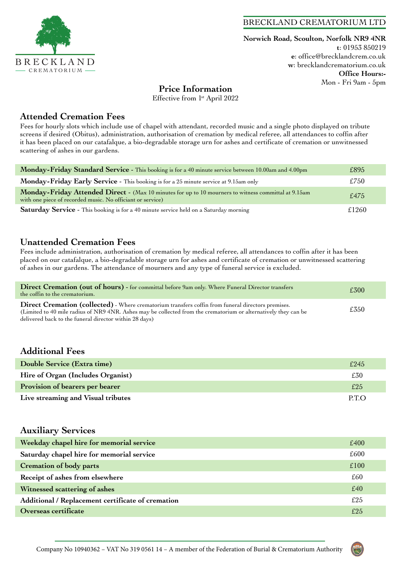

#### BRECKLAND CREMATORIUM LTD

**Norwich Road, Scoulton, Norfolk NR9 4NR t**: 01953 850219 **e**: office@brecklandcrem.co.uk **w**: brecklandcrematorium.co.uk **Office Hours:-** Mon - Fri 9am - 5pm

## **Price Information**

Effective from 1<sup>st</sup> April 2022

#### **Attended Cremation Fees**

Fees for hourly slots which include use of chapel with attendant, recorded music and a single photo displayed on tribute screens if desired (Obitus), administration, authorisation of cremation by medical referee, all attendances to coffin after it has been placed on our catafalque, a bio-degradable storage urn for ashes and certificate of cremation or unwitnessed scattering of ashes in our gardens.

| Monday-Friday Standard Service - This booking is for a 40 minute service between 10.00am and 4.00pm                                                                | £895  |
|--------------------------------------------------------------------------------------------------------------------------------------------------------------------|-------|
| Monday-Friday Early Service - This booking is for a 25 minute service at 9.15am only                                                                               | £750  |
| Monday-Friday Attended Direct - (Max 10 minutes for up to 10 mourners to witness committal at 9.15am<br>with one piece of recorded music. No officiant or service) | f.475 |
| Saturday Service - This booking is for a 40 minute service held on a Saturday morning                                                                              | £1260 |

## **Unattended Cremation Fees**

Fees include administration, authorisation of cremation by medical referee, all attendances to coffin after it has been placed on our catafalque, a bio-degradable storage urn for ashes and certificate of cremation or unwitnessed scattering of ashes in our gardens. The attendance of mourners and any type of funeral service is excluded.

| Direct Cremation (out of hours) - for committal before 9am only. Where Funeral Director transfers<br>the coffin to the crematorium.                                                                                                                                                    | £300 |
|----------------------------------------------------------------------------------------------------------------------------------------------------------------------------------------------------------------------------------------------------------------------------------------|------|
| <b>Direct Cremation (collected)</b> - Where crematorium transfers coffin from funeral directors premises.<br>(Limited to 40 mile radius of NR9 4NR. Ashes may be collected from the crematorium or alternatively they can be<br>delivered back to the funeral director within 28 days) | £350 |

## **Additional Fees**

| Double Service (Extra time)        | £245  |
|------------------------------------|-------|
| Hire of Organ (Includes Organist)  | £30   |
| Provision of bearers per bearer    | £25   |
| Live streaming and Visual tributes | P.T.O |

#### **Auxiliary Services**

| Weekday chapel hire for memorial service          | £400 |
|---------------------------------------------------|------|
| Saturday chapel hire for memorial service         | £600 |
| <b>Cremation of body parts</b>                    | £100 |
| Receipt of ashes from elsewhere                   | £60  |
| Witnessed scattering of ashes                     | £40  |
| Additional / Replacement certificate of cremation | £25  |
| Overseas certificate                              | £25  |